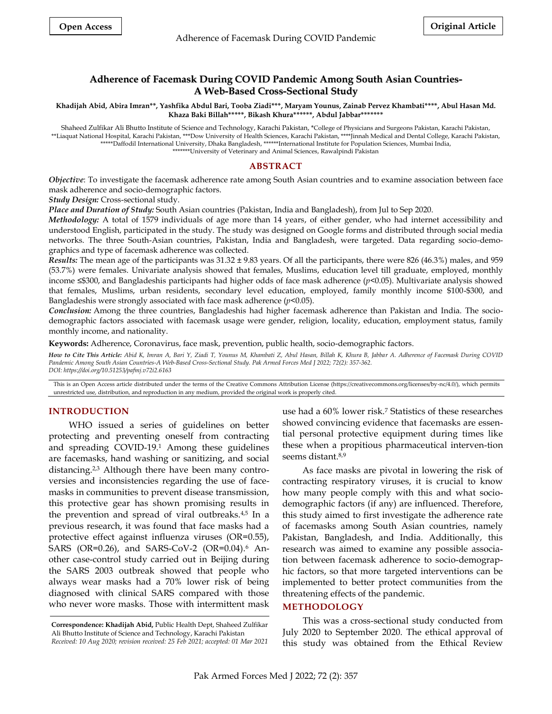# **Adherence of Facemask During COVID Pandemic Among South Asian Countries-A Web-Based Cross-Sectional Study**

**Khadijah Abid, Abira Imran\*\*, Yashfika Abdul Bari, Tooba Ziadi\*\*\*, Maryam Younus, Zainab Pervez Khambati\*\*\*\*, Abul Hasan Md. Khaza Baki Billah\*\*\*\*\*, Bikash Khura\*\*\*\*\*\*, Abdul Jabbar\*\*\*\*\*\*\***

Shaheed Zulfikar Ali Bhutto Institute of Science and Technology, Karachi Pakistan, \*College of Physicians and Surgeons Pakistan, Karachi Pakistan, \*\*Liaquat National Hospital, Karachi Pakistan, \*\*\*Dow University of Health Sciences, Karachi Pakistan, \*\*\*\*Jinnah Medical and Dental College, Karachi Pakistan, \*\*\*\*\*Daffodil International University, Dhaka Bangladesh, \*\*\*\*\*\*International Institute for Population Sciences, Mumbai India, \*\*\*\*\*\*\*University of Veterinary and Animal Sciences, Rawalpindi Pakistan

# **ABSTRACT**

*Objective*: To investigate the facemask adherence rate among South Asian countries and to examine association between face mask adherence and socio-demographic factors.

*Study Design:* Cross-sectional study.

*Place and Duration of Study:* South Asian countries (Pakistan, India and Bangladesh), from Jul to Sep 2020.

*Methodology:* A total of 1579 individuals of age more than 14 years, of either gender, who had internet accessibility and understood English, participated in the study. The study was designed on Google forms and distributed through social media networks. The three South-Asian countries, Pakistan, India and Bangladesh, were targeted. Data regarding socio-demographics and type of facemask adherence was collected.

*Results:* The mean age of the participants was 31.32 ± 9.83 years. Of all the participants, there were 826 (46.3%) males, and 959 (53.7%) were females. Univariate analysis showed that females, Muslims, education level till graduate, employed, monthly income ≤\$300, and Bangladeshis participants had higher odds of face mask adherence (*p*<0.05). Multivariate analysis showed that females, Muslims, urban residents, secondary level education, employed, family monthly income \$100-\$300, and Bangladeshis were strongly associated with face mask adherence (*p*<0.05).

*Conclusion:* Among the three countries, Bangladeshis had higher facemask adherence than Pakistan and India. The sociodemographic factors associated with facemask usage were gender, religion, locality, education, employment status, family monthly income, and nationality.

**Keywords:** Adherence, Coronavirus, face mask, prevention, public health, socio-demographic factors.

*How to Cite This Article: Abid K, Imran A, Bari Y, Ziadi T, Younus M, Khambati Z, Abul Hasan, Billah K, Khura B, Jabbar A. Adherence of Facemask During COVID Pandemic Among South Asian Countries-A Web-Based Cross-Sectional Study. Pak Armed Forces Med J 2022; 72(2): 357-362. DOI: https://doi.org/10.51253/pafmj.v72i2.6163*

This is an Open Access article distributed under the terms of the Creative Commons Attribution License (https://creativecommons.org/licenses/by-nc/4.0/), which permits unrestricted use, distribution, and reproduction in any medium, provided the original work is properly cited.

## **INTRODUCTION**

WHO issued a series of guidelines on better protecting and preventing oneself from contracting and spreading COVID-19. <sup>1</sup> Among these guidelines are facemasks, hand washing or sanitizing, and social distancing.2,3 Although there have been many controversies and inconsistencies regarding the use of facemasks in communities to prevent disease transmission, this protective gear has shown promising results in the prevention and spread of viral outbreaks.<sup>4,5</sup> In a previous research, it was found that face masks had a protective effect against influenza viruses (OR=0.55), SARS (OR=0.26), and SARS-CoV-2 (OR=0.04).<sup>6</sup> Another case-control study carried out in Beijing during the SARS 2003 outbreak showed that people who always wear masks had a 70% lower risk of being diagnosed with clinical SARS compared with those who never wore masks. Those with intermittent mask

use had a 60% lower risk.<sup>7</sup> Statistics of these researches showed convincing evidence that facemasks are essential personal protective equipment during times like these when a propitious pharmaceutical interven-tion seems distant.<sup>8,9</sup>

As face masks are pivotal in lowering the risk of contracting respiratory viruses, it is crucial to know how many people comply with this and what sociodemographic factors (if any) are influenced. Therefore, this study aimed to first investigate the adherence rate of facemasks among South Asian countries, namely Pakistan, Bangladesh, and India. Additionally, this research was aimed to examine any possible association between facemask adherence to socio-demographic factors, so that more targeted interventions can be implemented to better protect communities from the threatening effects of the pandemic.

### **METHODOLOGY**

This was a cross-sectional study conducted from July 2020 to September 2020. The ethical approval of this study was obtained from the Ethical Review

**Correspondence: Khadijah Abid,** Public Health Dept, Shaheed Zulfikar Ali Bhutto Institute of Science and Technology, Karachi Pakistan *Received: 10 Aug 2020; revision received: 25 Feb 2021; accepted: 01 Mar 2021*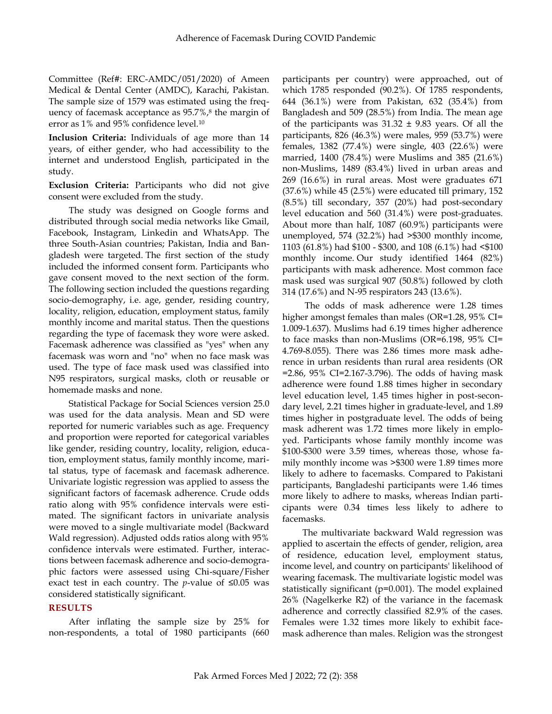Committee (Ref#: ERC-AMDC/051/2020) of Ameen Medical & Dental Center (AMDC), Karachi, Pakistan. The sample size of 1579 was estimated using the frequency of facemask acceptance as 95.7%, 8 the margin of error as 1% and 95% confidence level.<sup>10</sup>

**Inclusion Criteria:** Individuals of age more than 14 years, of either gender, who had accessibility to the internet and understood English, participated in the study.

**Exclusion Criteria:** Participants who did not give consent were excluded from the study.

The study was designed on Google forms and distributed through social media networks like Gmail, Facebook, Instagram, Linkedin and WhatsApp. The three South-Asian countries; Pakistan, India and Bangladesh were targeted. The first section of the study included the informed consent form. Participants who gave consent moved to the next section of the form. The following section included the questions regarding socio-demography, i.e. age, gender, residing country, locality, religion, education, employment status, family monthly income and marital status. Then the questions regarding the type of facemask they wore were asked. Facemask adherence was classified as "yes" when any facemask was worn and "no" when no face mask was used. The type of face mask used was classified into N95 respirators, surgical masks, cloth or reusable or homemade masks and none.

Statistical Package for Social Sciences version 25.0 was used for the data analysis. Mean and SD were reported for numeric variables such as age. Frequency and proportion were reported for categorical variables like gender, residing country, locality, religion, education, employment status, family monthly income, marital status, type of facemask and facemask adherence. Univariate logistic regression was applied to assess the significant factors of facemask adherence. Crude odds ratio along with 95% confidence intervals were estimated. The significant factors in univariate analysis were moved to a single multivariate model (Backward Wald regression). Adjusted odds ratios along with 95% confidence intervals were estimated. Further, interactions between facemask adherence and socio-demographic factors were assessed using Chi-square/Fisher exact test in each country. The *p*-value of  $\leq 0.05$  was considered statistically significant.

# **RESULTS**

After inflating the sample size by 25% for non-respondents, a total of 1980 participants (660 participants per country) were approached, out of which 1785 responded (90.2%). Of 1785 respondents, 644 (36.1%) were from Pakistan, 632 (35.4%) from Bangladesh and 509 (28.5%) from India. The mean age of the participants was  $31.32 \pm 9.83$  years. Of all the participants, 826 (46.3%) were males, 959 (53.7%) were females, 1382 (77.4%) were single, 403 (22.6%) were married, 1400 (78.4%) were Muslims and 385 (21.6%) non-Muslims, 1489 (83.4%) lived in urban areas and 269 (16.6%) in rural areas. Most were graduates 671 (37.6%) while 45 (2.5%) were educated till primary, 152 (8.5%) till secondary, 357 (20%) had post-secondary level education and 560 (31.4%) were post-graduates. About more than half, 1087 (60.9%) participants were unemployed, 574 (32.2%) had >\$300 monthly income, 1103 (61.8%) had \$100 - \$300, and 108 (6.1%) had <\$100 monthly income. Our study identified 1464 (82%) participants with mask adherence. Most common face mask used was surgical 907 (50.8%) followed by cloth 314 (17.6%) and N-95 respirators 243 (13.6%).

The odds of mask adherence were 1.28 times higher amongst females than males (OR=1.28, 95% CI= 1.009-1.637). Muslims had 6.19 times higher adherence to face masks than non-Muslims (OR=6.198, 95% CI= 4.769-8.055). There was 2.86 times more mask adherence in urban residents than rural area residents (OR =2.86, 95% CI=2.167-3.796). The odds of having mask adherence were found 1.88 times higher in secondary level education level, 1.45 times higher in post-secondary level, 2.21 times higher in graduate-level, and 1.89 times higher in postgraduate level. The odds of being mask adherent was 1.72 times more likely in employed. Participants whose family monthly income was \$100-\$300 were 3.59 times, whereas those, whose family monthly income was >\$300 were 1.89 times more likely to adhere to facemasks. Compared to Pakistani participants, Bangladeshi participants were 1.46 times more likely to adhere to masks, whereas Indian participants were 0.34 times less likely to adhere to facemasks.

The multivariate backward Wald regression was applied to ascertain the effects of gender, religion, area of residence, education level, employment status, income level, and country on participants' likelihood of wearing facemask. The multivariate logistic model was statistically significant (p=0.001). The model explained 26% (Nagelkerke R2) of the variance in the facemask adherence and correctly classified 82.9% of the cases. Females were 1.32 times more likely to exhibit facemask adherence than males. Religion was the strongest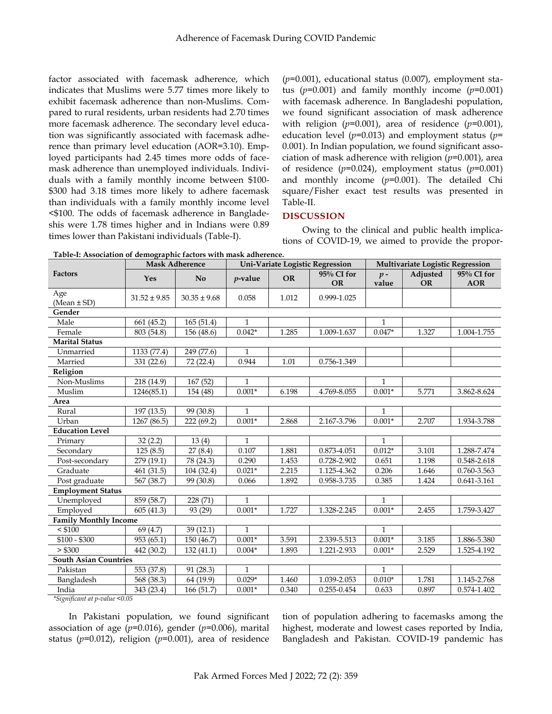factor associated with facemask adherence, which indicates that Muslims were 5.77 times more likely to exhibit facemask adherence than non-Muslims. Compared to rural residents, urban residents had 2.70 times more facemask adherence. The secondary level education was significantly associated with facemask adherence than primary level education (AOR=3.10). Employed participants had 2.45 times more odds of facemask adherence than unemployed individuals. Individuals with a family monthly income between \$100- \$300 had 3.18 times more likely to adhere facemask than individuals with a family monthly income level <\$100. The odds of facemask adherence in Bangladeshis were 1.78 times higher and in Indians were 0.89 times lower than Pakistani individuals (Table-I).

(*p*=0.001), educational status (0.007), employment status (*p*=0.001) and family monthly income (*p*=0.001) with facemask adherence. In Bangladeshi population, we found significant association of mask adherence with religion (*p*=0.001), area of residence (*p*=0.001), education level (*p*=0.013) and employment status (*p*= 0.001). In Indian population, we found significant association of mask adherence with religion (*p*=0.001), area of residence (*p*=0.024), employment status (*p*=0.001) and monthly income (*p*=0.001). The detailed Chi square/Fisher exact test results was presented in Table-II.

# **DISCUSSION**

Owing to the clinical and public health implications of COVID-19, we aimed to provide the propor-

**Table-I: Association of demographic factors with mask adherence.**

|                                     | radic i. resociation of achiographic factors with mask authentic.<br><b>Mask Adherence</b> |                  |              |           | Uni-Variate Logistic Regression | Multivariate Logistic Regression |                       |                          |
|-------------------------------------|--------------------------------------------------------------------------------------------|------------------|--------------|-----------|---------------------------------|----------------------------------|-----------------------|--------------------------|
| <b>Factors</b>                      | Yes                                                                                        | No               | $p$ -value   | <b>OR</b> | 95% CI for<br><b>OR</b>         | $p -$<br>value                   | Adjusted<br><b>OR</b> | 95% CI for<br><b>AOR</b> |
| Age<br>(Mean $\pm$ SD)              | $31.52 \pm 9.85$                                                                           | $30.35 \pm 9.68$ | 0.058        | 1.012     | 0.999-1.025                     |                                  |                       |                          |
| Gender                              |                                                                                            |                  |              |           |                                 |                                  |                       |                          |
| Male                                | 661(45.2)                                                                                  | 165(51.4)        | 1            |           |                                 | 1                                |                       |                          |
| Female                              | 803 (54.8)                                                                                 | 156 (48.6)       | $0.042*$     | 1.285     | 1.009-1.637                     | $0.047*$                         | 1.327                 | 1.004-1.755              |
| <b>Marital Status</b>               |                                                                                            |                  |              |           |                                 |                                  |                       |                          |
| Unmarried                           | 1133 (77.4)                                                                                | 249 (77.6)       | $\mathbf{1}$ |           |                                 |                                  |                       |                          |
| Married                             | 331 (22.6)                                                                                 | 72 (22.4)        | 0.944        | $1.01\,$  | 0.756-1.349                     |                                  |                       |                          |
| Religion                            |                                                                                            |                  |              |           |                                 |                                  |                       |                          |
| Non-Muslims                         | 218 (14.9)                                                                                 | 167(52)          | 1            |           |                                 | 1                                |                       |                          |
| Muslim                              | 1246(85.1)                                                                                 | 154 (48)         | $0.001*$     | 6.198     | 4.769-8.055                     | $0.001*$                         | 5.771                 | 3.862-8.624              |
| Area                                |                                                                                            |                  |              |           |                                 |                                  |                       |                          |
| Rural                               | 197 (13.5)                                                                                 | 99 (30.8)        | 1            |           |                                 | $\mathbf{1}$                     |                       |                          |
| Urban                               | 1267 (86.5)                                                                                | 222(69.2)        | $0.001*$     | 2.868     | 2.167-3.796                     | $0.001*$                         | 2.707                 | 1.934-3.788              |
| <b>Education Level</b>              |                                                                                            |                  |              |           |                                 |                                  |                       |                          |
| Primary                             | 32(2.2)                                                                                    | 13(4)            | $\mathbf{1}$ |           |                                 | $\mathbf{1}$                     |                       |                          |
| Secondary                           | 125(8.5)                                                                                   | 27(8.4)          | 0.107        | 1.881     | 0.873-4.051                     | $0.012*$                         | 3.101                 | 1.288-7.474              |
| Post-secondary                      | 279(19.1)                                                                                  | 78 (24.3)        | 0.290        | 1.453     | 0.728-2.902                     | 0.651                            | 1.198                 | 0.548-2.618              |
| Graduate                            | 461(31.5)                                                                                  | 104 (32.4)       | $0.021*$     | 2.215     | 1.125-4.362                     | 0.206                            | 1.646                 | 0.760-3.563              |
| Post graduate                       | 567 (38.7)                                                                                 | 99 (30.8)        | 0.066        | 1.892     | 0.958-3.735                     | 0.385                            | 1.424                 | 0.641-3.161              |
| <b>Employment Status</b>            |                                                                                            |                  |              |           |                                 |                                  |                       |                          |
| Unemployed                          | 859 (58.7)                                                                                 | 228 (71)         | $\mathbf{1}$ |           |                                 | $\mathbf{1}$                     |                       |                          |
| Employed                            | 605 (41.3)                                                                                 | 93 (29)          | $0.001*$     | 1.727     | 1.328-2.245                     | $0.001*$                         | 2.455                 | 1.759-3.427              |
| <b>Family Monthly Income</b>        |                                                                                            |                  |              |           |                                 |                                  |                       |                          |
| $<$ \$100                           | 69 (4.7)                                                                                   | 39(12.1)         | $\mathbf{1}$ |           |                                 | $\mathbf{1}$                     |                       |                          |
| $$100 - $300$                       | 953(65.1)                                                                                  | 150 (46.7)       | $0.001*$     | 3.591     | 2.339-5.513                     | $0.001*$                         | 3.185                 | 1.886-5.380              |
| > \$300                             | 442 (30.2)                                                                                 | 132(41.1)        | $0.004*$     | 1.893     | 1.221-2.933                     | $0.001*$                         | 2.529                 | 1.525-4.192              |
| <b>South Asian Countries</b>        |                                                                                            |                  |              |           |                                 |                                  |                       |                          |
| Pakistan                            | 553 (37.8)                                                                                 | 91 (28.3)        | $\mathbf{1}$ |           |                                 | $\mathbf{1}$                     |                       |                          |
| Bangladesh                          | 568 (38.3)                                                                                 | 64 (19.9)        | $0.029*$     | 1.460     | 1.039-2.053                     | $0.010*$                         | 1.781                 | 1.145-2.768              |
| India                               | 343 (23.4)                                                                                 | 166 (51.7)       | $0.001*$     | 0.340     | 0.255-0.454                     | 0.633                            | 0.897                 | 0.574-1.402              |
| *Sionificant at n-value $\leq 0.05$ |                                                                                            |                  |              |           |                                 |                                  |                       |                          |

*\*Significant at p-value <0.05*

In Pakistani population, we found significant association of age (*p*=0.016), gender (*p*=0.006), marital status (*p*=0.012), religion (*p*=0.001), area of residence

tion of population adhering to facemasks among the highest, moderate and lowest cases reported by India, Bangladesh and Pakistan. COVID-19 pandemic has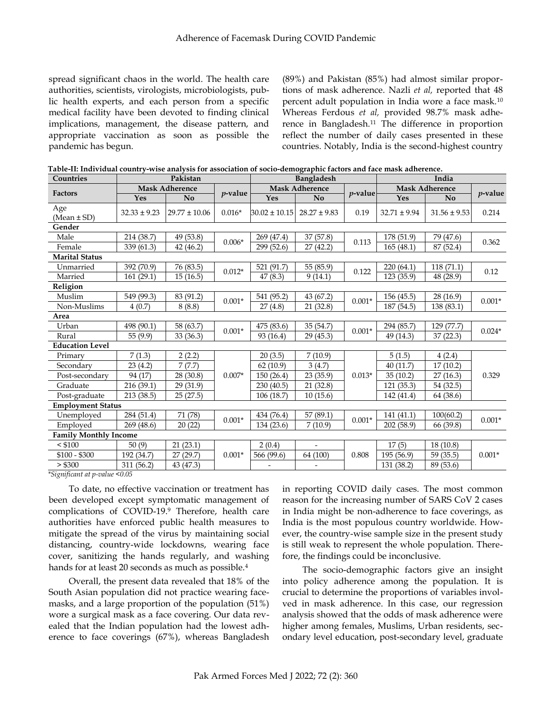spread significant chaos in the world. The health care authorities, scientists, virologists, microbiologists, public health experts, and each person from a specific medical facility have been devoted to finding clinical implications, management, the disease pattern, and appropriate vaccination as soon as possible the pandemic has begun.

(89%) and Pakistan (85%) had almost similar proportions of mask adherence. Nazli *et al,* reported that 48 percent adult population in India wore a face mask.<sup>10</sup> Whereas Ferdous *et al,* provided 98.7% mask adherence in Bangladesh.<sup>11</sup> The difference in proportion reflect the number of daily cases presented in these countries. Notably, India is the second-highest country

| Countries                    | Pakistan              |                   |            | <b>Bangladesh</b>        |                          |            | India                 |                  |            |
|------------------------------|-----------------------|-------------------|------------|--------------------------|--------------------------|------------|-----------------------|------------------|------------|
| <b>Factors</b>               | <b>Mask Adherence</b> |                   |            | <b>Mask Adherence</b>    |                          |            | <b>Mask Adherence</b> |                  |            |
|                              | Yes                   | N <sub>0</sub>    | $p$ -value | Yes                      | N <sub>0</sub>           | $p$ -value | Yes                   | N <sub>o</sub>   | $p$ -value |
| Age                          | $32.33 \pm 9.23$      | $29.77 \pm 10.06$ | $0.016*$   | $30.02 \pm 10.15$        | $28.27 \pm 9.83$         | 0.19       | $32.71 \pm 9.94$      | $31.56 \pm 9.53$ | 0.214      |
| (Mean $\pm$ SD)              |                       |                   |            |                          |                          |            |                       |                  |            |
| Gender                       |                       |                   |            |                          |                          |            |                       |                  |            |
| Male                         | 214 (38.7)            | 49 (53.8)         | $0.006*$   | 269 (47.4)               | 37 (57.8)                | 0.113      | 178 (51.9)            | 79 (47.6)        | 0.362      |
| Female                       | 339 (61.3)            | 42(46.2)          |            | 299 (52.6)               | 27(42.2)                 |            | 165(48.1)             | 87 (52.4)        |            |
| <b>Marital Status</b>        |                       |                   |            |                          |                          |            |                       |                  |            |
| Unmarried                    | 392 (70.9)            | 76 (83.5)         | $0.012*$   | 521 (91.7)               | 55 (85.9)                | 0.122      | 220(64.1)             | 118(71.1)        | 0.12       |
| Married                      | 161(29.1)             | 15(16.5)          |            | 47(8.3)                  | 9(14.1)                  |            | 123 (35.9)            | 48 (28.9)        |            |
| Religion                     |                       |                   |            |                          |                          |            |                       |                  |            |
| Muslim                       | 549 (99.3)            | 83 (91.2)         | $0.001*$   | 541 (95.2)               | 43 (67.2)                | $0.001*$   | 156 (45.5)            | 28 (16.9)        | $0.001*$   |
| Non-Muslims                  | 4(0.7)                | 8(8.8)            |            | 27(4.8)                  | 21(32.8)                 |            | 187 (54.5)            | 138 (83.1)       |            |
| Area                         |                       |                   |            |                          |                          |            |                       |                  |            |
| Urban                        | 498 (90.1)            | 58 (63.7)         | $0.001*$   | 475 (83.6)               | 35 (54.7)                | $0.001*$   | 294 (85.7)            | 129(77.7)        | $0.024*$   |
| Rural                        | 55 (9.9)              | 33 (36.3)         |            | 93 (16.4)                | 29(45.3)                 |            | 49 (14.3)             | 37(22.3)         |            |
| <b>Education Level</b>       |                       |                   |            |                          |                          |            |                       |                  |            |
| Primary                      | 7(1.3)                | 2(2.2)            | $0.007*$   | 20(3.5)                  | 7(10.9)                  | $0.013*$   | 5(1.5)                | 4(2.4)           | 0.329      |
| Secondary                    | 23 (4.2)              | 7(7.7)            |            | 62(10.9)                 | 3(4.7)                   |            | 40(11.7)              | 17(10.2)         |            |
| Post-secondary               | 94 (17)               | 28 (30.8)         |            | 150(26.4)                | 23(35.9)                 |            | 35(10.2)              | 27(16.3)         |            |
| Graduate                     | 216(39.1)             | 29 (31.9)         |            | 230(40.5)                | 21(32.8)                 |            | 121(35.3)             | 54 (32.5)        |            |
| Post-graduate                | 213(38.5)             | 25(27.5)          |            | 106(18.7)                | 10(15.6)                 |            | 142 (41.4)            | 64 (38.6)        |            |
| <b>Employment Status</b>     |                       |                   |            |                          |                          |            |                       |                  |            |
| Unemployed                   | 284 (51.4)            | 71 (78)           | $0.001*$   | 434 (76.4)               | 57 (89.1)                | $0.001*$   | 141 (41.1)            | 100(60.2)        | $0.001*$   |
| Employed                     | 269 (48.6)            | 20(22)            |            | 134 (23.6)               | 7(10.9)                  |            | 202(58.9)             | 66 (39.8)        |            |
| <b>Family Monthly Income</b> |                       |                   |            |                          |                          |            |                       |                  |            |
| $<$ \$100                    | 50(9)                 | 21(23.1)          | $0.001*$   | 2(0.4)                   | $\blacksquare$           | 0.808      | 17(5)                 | 18 (10.8)        | $0.001*$   |
| $$100 - $300$                | 192 (34.7)            | 27(29.7)          |            | 566 (99.6)               | 64 (100)                 |            | 195 (56.9)            | 59(35.5)         |            |
| > \$300                      | 311 (56.2)            | 43 (47.3)         |            | $\overline{\phantom{a}}$ | $\overline{\phantom{a}}$ |            | 131 (38.2)            | 89 (53.6)        |            |

| Table-II: Individual country-wise analysis for association of socio-demographic factors and face mask adherence. |  |  |  |
|------------------------------------------------------------------------------------------------------------------|--|--|--|
|                                                                                                                  |  |  |  |

*\*Significant at p-value <0.05*

To date, no effective vaccination or treatment has been developed except symptomatic management of complications of COVID-19.<sup>9</sup> Therefore, health care authorities have enforced public health measures to mitigate the spread of the virus by maintaining social distancing, country-wide lockdowns, wearing face cover, sanitizing the hands regularly, and washing hands for at least 20 seconds as much as possible.<sup>4</sup>

Overall, the present data revealed that 18% of the South Asian population did not practice wearing facemasks, and a large proportion of the population (51%) wore a surgical mask as a face covering. Our data revealed that the Indian population had the lowest adherence to face coverings (67%), whereas Bangladesh

in reporting COVID daily cases. The most common reason for the increasing number of SARS CoV 2 cases in India might be non-adherence to face coverings, as India is the most populous country worldwide. However, the country-wise sample size in the present study is still weak to represent the whole population. Therefore, the findings could be inconclusive.

The socio-demographic factors give an insight into policy adherence among the population. It is crucial to determine the proportions of variables involved in mask adherence. In this case, our regression analysis showed that the odds of mask adherence were higher among females, Muslims, Urban residents, secondary level education, post-secondary level, graduate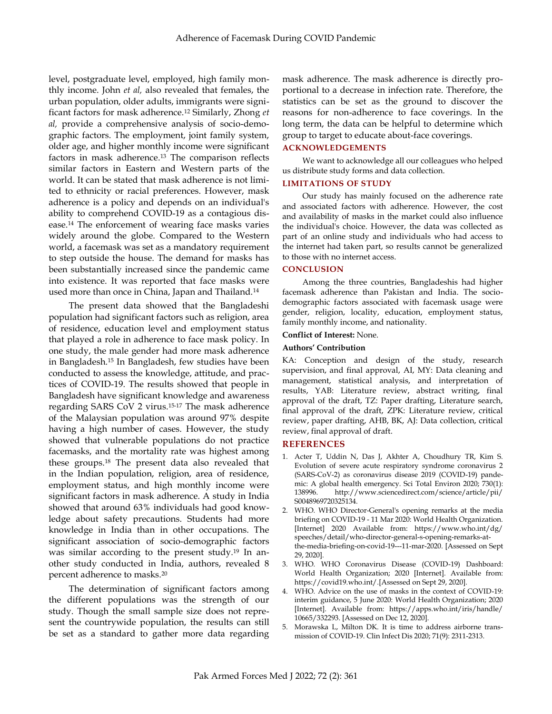level, postgraduate level, employed, high family monthly income. John *et al,* also revealed that females, the urban population, older adults, immigrants were significant factors for mask adherence.<sup>12</sup> Similarly, Zhong *et al,* provide a comprehensive analysis of socio-demographic factors. The employment, joint family system, older age, and higher monthly income were significant factors in mask adherence.<sup>13</sup> The comparison reflects similar factors in Eastern and Western parts of the world. It can be stated that mask adherence is not limited to ethnicity or racial preferences. However, mask adherence is a policy and depends on an individual's ability to comprehend COVID-19 as a contagious disease.<sup>14</sup> The enforcement of wearing face masks varies widely around the globe. Compared to the Western world, a facemask was set as a mandatory requirement to step outside the house. The demand for masks has been substantially increased since the pandemic came into existence. It was reported that face masks were used more than once in China, Japan and Thailand.<sup>14</sup>

The present data showed that the Bangladeshi population had significant factors such as religion, area of residence, education level and employment status that played a role in adherence to face mask policy. In one study, the male gender had more mask adherence in Bangladesh.<sup>15</sup> In Bangladesh, few studies have been conducted to assess the knowledge, attitude, and practices of COVID-19. The results showed that people in Bangladesh have significant knowledge and awareness regarding SARS CoV 2 virus.15-17 The mask adherence of the Malaysian population was around 97% despite having a high number of cases. However, the study showed that vulnerable populations do not practice facemasks, and the mortality rate was highest among these groups.<sup>18</sup> The present data also revealed that in the Indian population, religion, area of residence, employment status, and high monthly income were significant factors in mask adherence. A study in India showed that around 63% individuals had good knowledge about safety precautions. Students had more knowledge in India than in other occupations. The significant association of socio-demographic factors was similar according to the present study.<sup>19</sup> In another study conducted in India, authors, revealed 8 percent adherence to masks.<sup>20</sup>

The determination of significant factors among the different populations was the strength of our study. Though the small sample size does not represent the countrywide population, the results can still be set as a standard to gather more data regarding

mask adherence. The mask adherence is directly proportional to a decrease in infection rate. Therefore, the statistics can be set as the ground to discover the reasons for non-adherence to face coverings. In the long term, the data can be helpful to determine which group to target to educate about-face coverings.

# **ACKNOWLEDGEMENTS**

We want to acknowledge all our colleagues who helped us distribute study forms and data collection.

## **LIMITATIONS OF STUDY**

Our study has mainly focused on the adherence rate and associated factors with adherence. However, the cost and availability of masks in the market could also influence the individual's choice. However, the data was collected as part of an online study and individuals who had access to the internet had taken part, so results cannot be generalized to those with no internet access.

#### **CONCLUSION**

Among the three countries, Bangladeshis had higher facemask adherence than Pakistan and India. The sociodemographic factors associated with facemask usage were gender, religion, locality, education, employment status, family monthly income, and nationality.

#### **Conflict of Interest:** None.

#### **Authors' Contribution**

KA: Conception and design of the study, research supervision, and final approval, AI, MY: Data cleaning and management, statistical analysis, and interpretation of results, YAB: Literature review, abstract writing, final approval of the draft, TZ: Paper drafting, Literature search, final approval of the draft, ZPK: Literature review, critical review, paper drafting, AHB, BK, AJ: Data collection, critical review, final approval of draft.

#### **REFERENCES**

- 1. Acter T, Uddin N, Das J, Akhter A, Choudhury TR, Kim S. Evolution of severe acute respiratory syndrome coronavirus 2 (SARS-CoV-2) as coronavirus disease 2019 (COVID-19) pandemic: A global health emergency. Sci Total Environ 2020; 730(1): 138996. http://www.sciencedirect.com/science/article/pii/ S0048969720325134.
- 2. WHO. WHO Director-General's opening remarks at the media briefing on COVID-19 - 11 Mar 2020: World Health Organization. [Internet] 2020 Available from: https://www.who.int/dg/ speeches/detail/who-director-general-s-opening-remarks-atthe-media-briefing-on-covid-19---11-mar-2020. [Assessed on Sept 29, 2020].
- 3. WHO. WHO Coronavirus Disease (COVID-19) Dashboard: World Health Organization; 2020 [Internet]. Available from: https://covid19.who.int/.[Assessed on Sept 29, 2020].
- 4. WHO. Advice on the use of masks in the context of COVID-19: interim guidance, 5 June 2020: World Health Organization; 2020 [Internet]. Available from: https://apps.who.int/iris/handle/ 10665/332293. [Assessed on Dec 12, 2020].
- 5. Morawska L, Milton DK. It is time to address airborne transmission of COVID-19. Clin Infect Dis 2020; 71(9): 2311-2313.